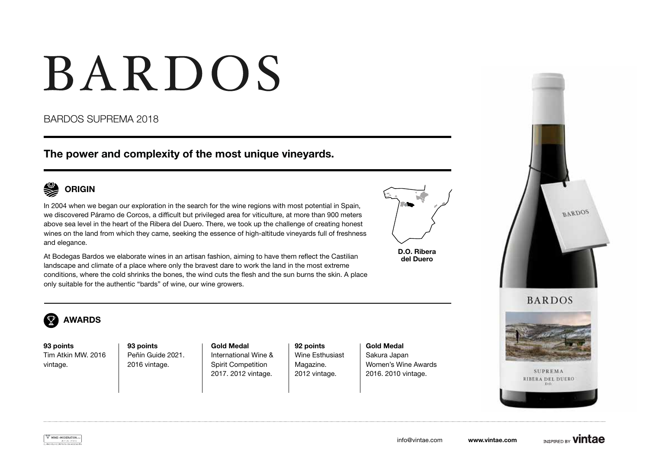# BARDOS

### BARDOS SUPREMA 2018

The power and complexity of the most unique vineyards.



## ORIGIN

In 2004 when we began our exploration in the search for the wine regions with most potential in Spain, we discovered Páramo de Corcos, a difficult but privileged area for viticulture, at more than 900 meters above sea level in the heart of the Ribera del Duero. There, we took up the challenge of creating honest wines on the land from which they came, seeking the essence of high-altitude vineyards full of freshness and elegance.

At Bodegas Bardos we elaborate wines in an artisan fashion, aiming to have them reflect the Castilian landscape and climate of a place where only the bravest dare to work the land in the most extreme conditions, where the cold shrinks the bones, the wind cuts the flesh and the sun burns the skin. A place only suitable for the authentic "bards" of wine, our wine growers.



D.O. Ribera del Duero



#### $\mathbf{\Omega}^{\prime}$ AWARDS

93 points Tim Atkin MW. 2016 vintage.

93 points Peñín Guide 2021. 2016 vintage.

Gold Medal International Wine & Spirit Competition 2017. 2012 vintage.

92 points Wine Esthusiast Magazine. 2012 vintage.

Gold Medal Sakura Japan Women's Wine Awards 2016. 2010 vintage.